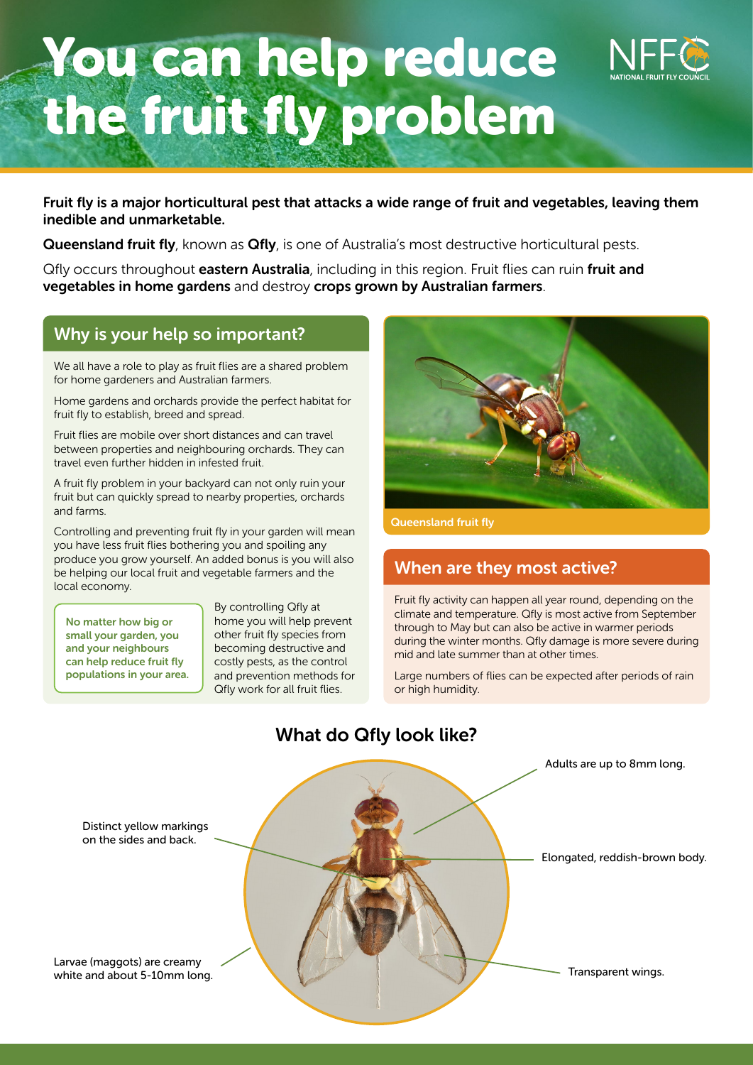# You can help reduce the fruit fly problem

Fruit fly is a major horticultural pest that attacks a wide range of fruit and vegetables, leaving them inedible and unmarketable.

Queensland fruit fly, known as Qfly, is one of Australia's most destructive horticultural pests.

Qfly occurs throughout eastern Australia, including in this region. Fruit flies can ruin fruit and vegetables in home gardens and destroy crops grown by Australian farmers.

### Why is your help so important?

We all have a role to play as fruit flies are a shared problem for home gardeners and Australian farmers.

Home gardens and orchards provide the perfect habitat for fruit fly to establish, breed and spread.

Fruit flies are mobile over short distances and can travel between properties and neighbouring orchards. They can travel even further hidden in infested fruit.

A fruit fly problem in your backyard can not only ruin your fruit but can quickly spread to nearby properties, orchards and farms.

Controlling and preventing fruit fly in your garden will mean you have less fruit flies bothering you and spoiling any produce you grow yourself. An added bonus is you will also be helping our local fruit and vegetable farmers and the local economy.

No matter how big or small your garden, you and your neighbours can help reduce fruit fly populations in your area. By controlling Qfly at home you will help prevent other fruit fly species from becoming destructive and costly pests, as the control and prevention methods for Qfly work for all fruit flies.



Queensland fruit fly

## When are they most active?

Fruit fly activity can happen all year round, depending on the climate and temperature. Qfly is most active from September through to May but can also be active in warmer periods during the winter months. Qfly damage is more severe during mid and late summer than at other times.

Large numbers of flies can be expected after periods of rain or high humidity.



# What do Qfly look like?